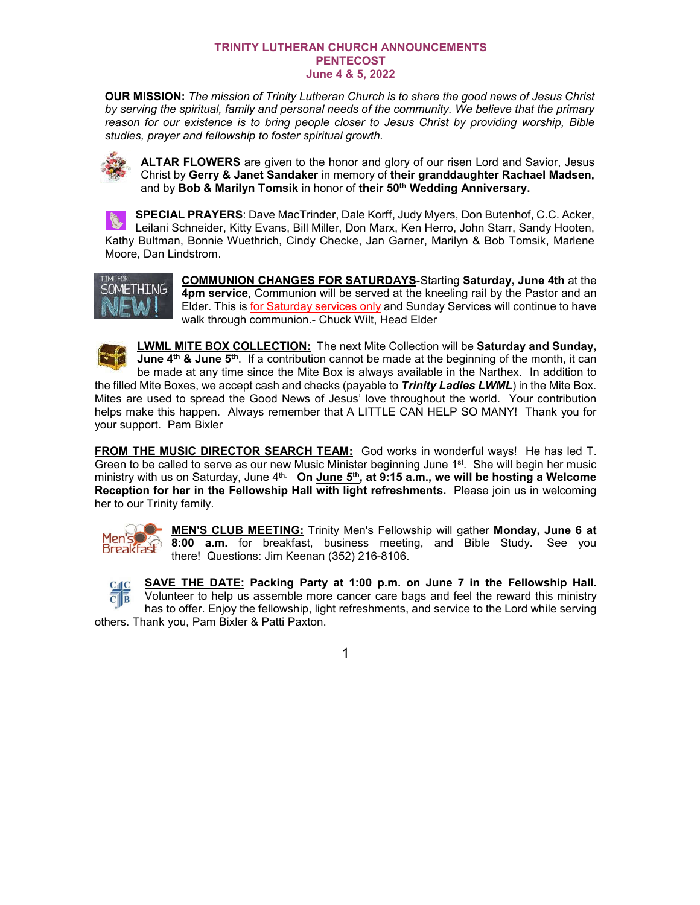## **TRINITY LUTHERAN CHURCH ANNOUNCEMENTS PENTECOST June 4 & 5, 2022**

**OUR MISSION:** *The mission of Trinity Lutheran Church is to share the good news of Jesus Christ by serving the spiritual, family and personal needs of the community. We believe that the primary reason for our existence is to bring people closer to Jesus Christ by providing worship, Bible studies, prayer and fellowship to foster spiritual growth.*



**ALTAR FLOWERS** are given to the honor and glory of our risen Lord and Savior, Jesus Christ by **Gerry & Janet Sandaker** in memory of **their granddaughter Rachael Madsen,**  and by **Bob & Marilyn Tomsik** in honor of **their 50th Wedding Anniversary.**

**SPECIAL PRAYERS**: Dave MacTrinder, Dale Korff, Judy Myers, Don Butenhof, C.C. Acker, Leilani Schneider, Kitty Evans, Bill Miller, Don Marx, Ken Herro, John Starr, Sandy Hooten, Kathy Bultman, Bonnie Wuethrich, Cindy Checke, Jan Garner, Marilyn & Bob Tomsik, Marlene Moore, Dan Lindstrom.



**COMMUNION CHANGES FOR SATURDAYS**-Starting **Saturday, June 4th** at the **4pm service**, Communion will be served at the kneeling rail by the Pastor and an Elder. This is for Saturday services only and Sunday Services will continue to have walk through communion.- Chuck Wilt, Head Elder

**LWML MITE BOX COLLECTION:** The next Mite Collection will be **Saturday and Sunday, June 4<sup>th</sup> & June 5<sup>th</sup>.** If a contribution cannot be made at the beginning of the month, it can be made at any time since the Mite Box is always available in the Narthex. In addition to the filled Mite Boxes, we accept cash and checks (payable to *Trinity Ladies LWML*) in the Mite Box. Mites are used to spread the Good News of Jesus' love throughout the world. Your contribution helps make this happen. Always remember that A LITTLE CAN HELP SO MANY! Thank you for your support. Pam Bixler

**FROM THE MUSIC DIRECTOR SEARCH TEAM:** God works in wonderful ways! He has led T. Green to be called to serve as our new Music Minister beginning June 1<sup>st</sup>. She will begin her music ministry with us on Saturday, June 4<sup>th.</sup> On June 5<sup>th</sup>, at 9:15 a.m., we will be hosting a Welcome **Reception for her in the Fellowship Hall with light refreshments.** Please join us in welcoming her to our Trinity family.



**MEN'S CLUB MEETING:** Trinity Men's Fellowship will gather **Monday, June 6 at 8:00 a.m.** for breakfast, business meeting, and Bible Study. See you there! Questions: Jim Keenan (352) 216-8106.

**SAVE THE DATE: Packing Party at 1:00 p.m. on June 7 in the Fellowship Hall.**  $C$ <sub>II</sub> $C$  $\overline{\overline{C}}$   $\overline{\overline{B}}$ Volunteer to help us assemble more cancer care bags and feel the reward this ministry has to offer. Enjoy the fellowship, light refreshments, and service to the Lord while serving others. Thank you, Pam Bixler & Patti Paxton.

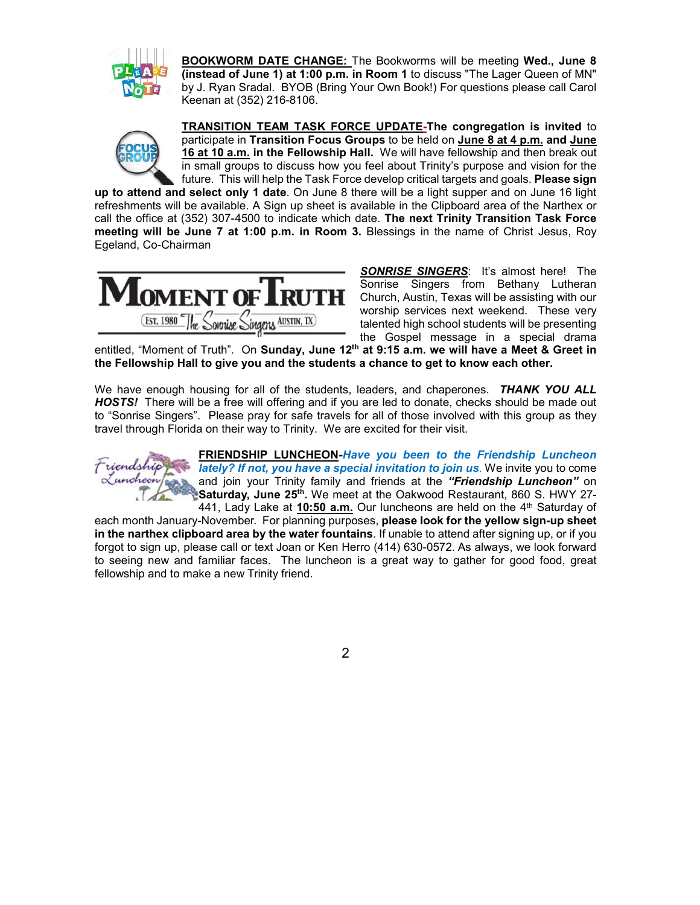

**BOOKWORM DATE CHANGE:** The Bookworms will be meeting **Wed., June 8 (instead of June 1) at 1:00 p.m. in Room 1** to discuss "The Lager Queen of MN" by J. Ryan Sradal. BYOB (Bring Your Own Book!) For questions please call Carol Keenan at (352) 216-8106.



**TRANSITION TEAM TASK FORCE UPDATE-The congregation is invited** to participate in **Transition Focus Groups** to be held on **June 8 at 4 p.m. and June 16 at 10 a.m. in the Fellowship Hall.** We will have fellowship and then break out in small groups to discuss how you feel about Trinity's purpose and vision for the future. This will help the Task Force develop critical targets and goals. **Please sign** 

**up to attend and select only 1 date**. On June 8 there will be a light supper and on June 16 light refreshments will be available. A Sign up sheet is available in the Clipboard area of the Narthex or call the office at (352) 307-4500 to indicate which date. **The next Trinity Transition Task Force meeting will be June 7 at 1:00 p.m. in Room 3.** Blessings in the name of Christ Jesus, Roy Egeland, Co-Chairman



**SONRISE SINGERS:** It's almost here! The Sonrise Singers from Bethany Lutheran Church, Austin, Texas will be assisting with our worship services next weekend. These very talented high school students will be presenting the Gospel message in a special drama

entitled, "Moment of Truth". On **Sunday, June 12th at 9:15 a.m. we will have a Meet & Greet in the Fellowship Hall to give you and the students a chance to get to know each other.**

We have enough housing for all of the students, leaders, and chaperones. *THANK YOU ALL HOSTS!* There will be a free will offering and if you are led to donate, checks should be made out to "Sonrise Singers". Please pray for safe travels for all of those involved with this group as they travel through Florida on their way to Trinity. We are excited for their visit.



**FRIENDSHIP LUNCHEON***-Have you been to the Friendship Luncheon lately? If not, you have a special invitation to join us.* We invite you to come and join your Trinity family and friends at the *"Friendship Luncheon"* on Saturday, June 25<sup>th</sup>. We meet at the Oakwood Restaurant, 860 S. HWY 27-441, Lady Lake at **10:50 a.m.** Our luncheons are held on the 4<sup>th</sup> Saturday of

each month January-November. For planning purposes, **please look for the yellow sign-up sheet in the narthex clipboard area by the water fountains**. If unable to attend after signing up, or if you forgot to sign up, please call or text Joan or Ken Herro (414) 630-0572. As always, we look forward to seeing new and familiar faces. The luncheon is a great way to gather for good food, great fellowship and to make a new Trinity friend.

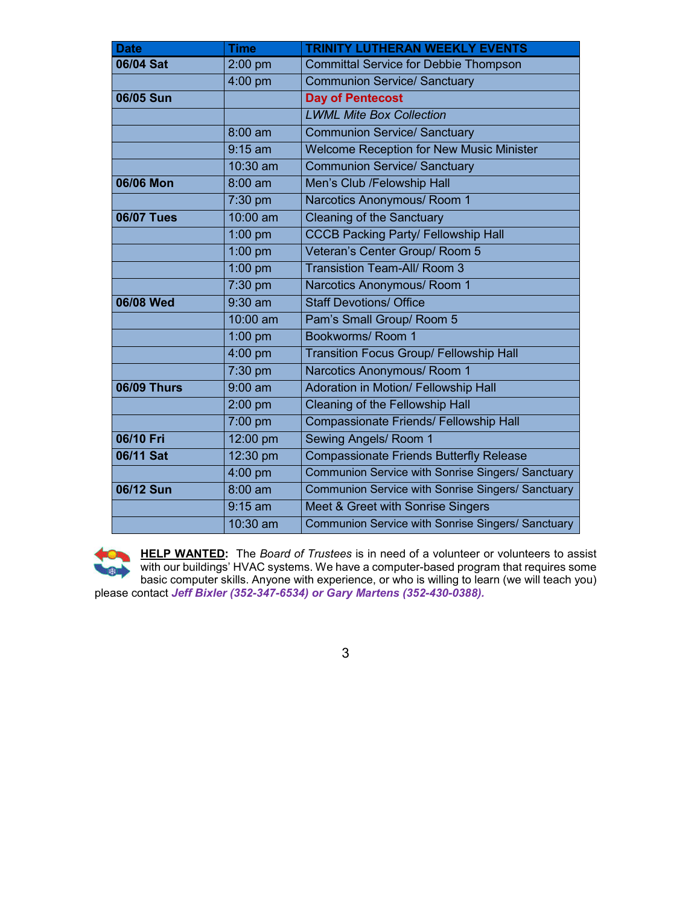| <b>Date</b>        | <b>Time</b> | <b>TRINITY LUTHERAN WEEKLY EVENTS</b>                    |  |
|--------------------|-------------|----------------------------------------------------------|--|
| 06/04 Sat          | 2:00 pm     | <b>Committal Service for Debbie Thompson</b>             |  |
|                    | $4:00$ pm   | <b>Communion Service/ Sanctuary</b>                      |  |
| 06/05 Sun          |             | <b>Day of Pentecost</b>                                  |  |
|                    |             | <b>LWML Mite Box Collection</b>                          |  |
|                    | $8:00$ am   | <b>Communion Service/ Sanctuary</b>                      |  |
|                    | $9:15$ am   | <b>Welcome Reception for New Music Minister</b>          |  |
|                    | 10:30 am    | <b>Communion Service/ Sanctuary</b>                      |  |
| 06/06 Mon          | $8:00$ am   | Men's Club /Felowship Hall                               |  |
|                    | 7:30 pm     | Narcotics Anonymous/ Room 1                              |  |
| <b>06/07 Tues</b>  | 10:00 am    | <b>Cleaning of the Sanctuary</b>                         |  |
|                    | $1:00$ pm   | <b>CCCB Packing Party/ Fellowship Hall</b>               |  |
|                    | 1:00 pm     | Veteran's Center Group/ Room 5                           |  |
|                    | $1:00$ pm   | <b>Transistion Team-All/ Room 3</b>                      |  |
|                    | 7:30 pm     | Narcotics Anonymous/ Room 1                              |  |
| 06/08 Wed          | $9:30$ am   | <b>Staff Devotions/ Office</b>                           |  |
|                    | 10:00 am    | Pam's Small Group/ Room 5                                |  |
|                    | 1:00 pm     | Bookworms/ Room 1                                        |  |
|                    | 4:00 pm     | <b>Transition Focus Group/ Fellowship Hall</b>           |  |
|                    | 7:30 pm     | Narcotics Anonymous/ Room 1                              |  |
| <b>06/09 Thurs</b> | $9:00$ am   | Adoration in Motion/ Fellowship Hall                     |  |
|                    | 2:00 pm     | Cleaning of the Fellowship Hall                          |  |
|                    | 7:00 pm     | Compassionate Friends/ Fellowship Hall                   |  |
| 06/10 Fri          | 12:00 pm    | Sewing Angels/ Room 1                                    |  |
| 06/11 Sat          | 12:30 pm    | <b>Compassionate Friends Butterfly Release</b>           |  |
|                    | 4:00 pm     | Communion Service with Sonrise Singers/ Sanctuary        |  |
| 06/12 Sun          | $8:00$ am   | Communion Service with Sonrise Singers/ Sanctuary        |  |
|                    | $9:15$ am   | Meet & Greet with Sonrise Singers                        |  |
|                    | 10:30 am    | <b>Communion Service with Sonrise Singers/ Sanctuary</b> |  |

**HELP WANTED:** The *Board of Trustees* is in need of a volunteer or volunteers to assist with our buildings' HVAC systems. We have a computer-based program that requires some basic computer skills. Anyone with experience, or who is willing to learn (we will teach you) please contact *Jeff Bixler (352-347-6534) or Gary Martens (352-430-0388).*

3